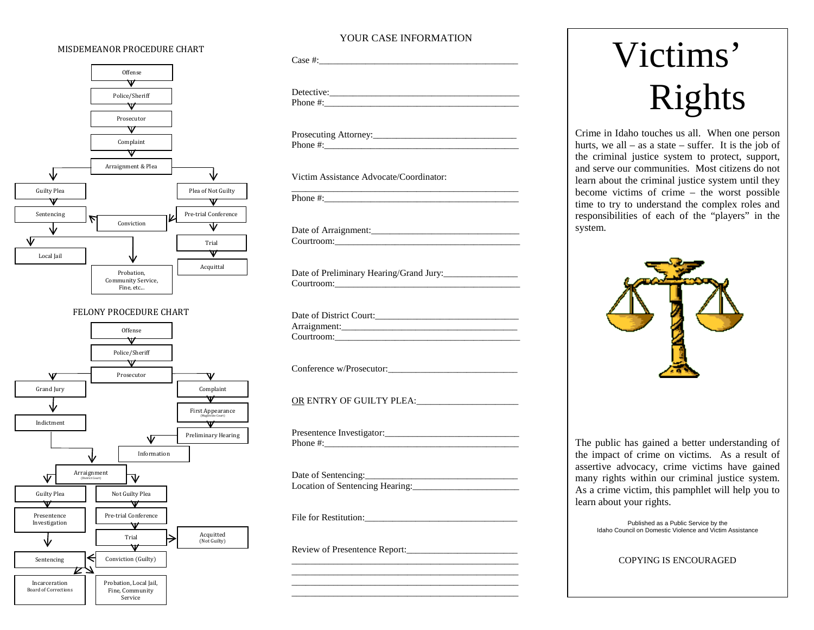# MISDEMEANOR PROCEDURE CHART



# FELONY PROCEDURE CHART



# YOUR CASE INFORMATION

Case #:\_\_\_\_\_\_\_\_\_\_\_\_\_\_\_\_\_\_\_\_\_\_\_\_\_\_\_\_\_\_\_\_\_\_\_\_\_\_\_\_\_\_\_ Detective:\_\_\_\_\_\_\_\_\_\_\_\_\_\_\_\_\_\_\_\_\_\_\_\_\_\_\_\_\_\_\_\_\_\_\_\_\_\_\_\_\_ Phone #:\_\_\_\_\_\_\_\_\_\_\_\_\_\_\_\_\_\_\_\_\_\_\_\_\_\_\_\_\_\_\_\_\_\_\_\_\_\_\_\_\_\_

Prosecuting Attorney:\_\_\_\_\_\_\_\_\_\_\_\_\_\_\_\_\_\_\_\_\_\_\_\_\_\_\_\_\_\_\_ Phone #:

Victim Assistance Advocate/Coordinator:

\_\_\_\_\_\_\_\_\_\_\_\_\_\_\_\_\_\_\_\_\_\_\_\_\_\_\_\_\_\_\_\_\_\_\_\_\_\_\_\_\_\_\_\_\_\_\_\_\_ Phone  $\#$ :

Date of Arraignment:\_\_\_\_\_\_\_\_\_\_\_\_\_\_\_\_\_\_\_\_\_\_\_\_\_\_\_\_\_\_\_\_ Courtroom:

Date of Preliminary Hearing/Grand Jury: Courtroom:\_\_\_\_\_\_\_\_\_\_\_\_\_\_\_\_\_\_\_\_\_\_\_\_\_\_\_\_\_\_\_\_\_\_\_\_\_\_\_\_

Date of District Court: Arraignment: Courtroom:\_\_\_\_\_\_\_\_\_\_\_\_\_\_\_\_\_\_\_\_\_\_\_\_\_\_\_\_\_\_\_\_\_\_\_\_\_\_\_\_

Conference w/Prosecutor:

OR ENTRY OF GUILTY PLEA:

Presentence Investigator:\_\_\_\_\_\_\_\_\_\_\_\_\_\_\_\_\_\_\_\_\_\_\_\_\_\_\_\_\_ Phone #:\_\_\_\_\_\_\_\_\_\_\_\_\_\_\_\_\_\_\_\_\_\_\_\_\_\_\_\_\_\_\_\_\_\_\_\_\_\_\_\_\_\_

Date of Sentencing: Location of Sentencing Hearing:

\_\_\_\_\_\_\_\_\_\_\_\_\_\_\_\_\_\_\_\_\_\_\_\_\_\_\_\_\_\_\_\_\_\_\_\_\_\_\_\_\_\_\_\_\_\_\_\_\_ \_\_\_\_\_\_\_\_\_\_\_\_\_\_\_\_\_\_\_\_\_\_\_\_\_\_\_\_\_\_\_\_\_\_\_\_\_\_\_\_\_\_\_\_\_\_\_\_\_ \_\_\_\_\_\_\_\_\_\_\_\_\_\_\_\_\_\_\_\_\_\_\_\_\_\_\_\_\_\_\_\_\_\_\_\_\_\_\_\_\_\_\_\_\_\_\_\_\_ \_\_\_\_\_\_\_\_\_\_\_\_\_\_\_\_\_\_\_\_\_\_\_\_\_\_\_\_\_\_\_\_\_\_\_\_\_\_\_\_\_\_\_\_\_\_\_\_\_

File for Restitution:\_\_\_\_\_\_\_\_\_\_\_\_\_\_\_\_\_\_\_\_\_\_\_\_\_\_\_\_\_\_\_\_\_

Review of Presentence Report:\_\_\_\_\_\_\_\_\_\_\_\_\_\_\_\_\_\_\_\_\_\_\_\_

# Victims' Rights

Crime in Idaho touches us all. When one person hurts, we all – as a state – suffer. It is the job of the criminal justice system to protect, support, and serve our communities. Most citizens do not learn about the criminal justice system until they become victims of crime – the worst possible time to try to understand the complex roles and responsibilities of each of the "players" in the system.



The public has gained a better understanding of the impact of crime on victims. As a result of assertive advocacy, crime victims have gained many rights within our criminal justice system. As a crime victim, this pamphlet will help you to learn about your rights.

> Published as a Public Service by the Idaho Council on Domestic Violence and Victim Assistance

# COPYING IS ENCOURAGED